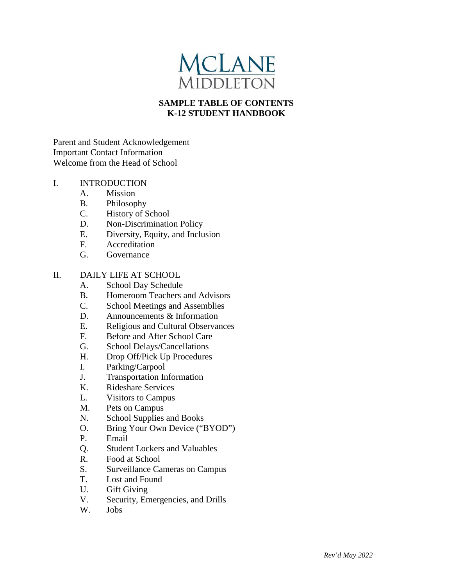

# **SAMPLE TABLE OF CONTENTS K-12 STUDENT HANDBOOK**

Parent and Student Acknowledgement Important Contact Information Welcome from the Head of School

## I. INTRODUCTION

- A. Mission
- B. Philosophy
- C. History of School
- D. Non-Discrimination Policy
- E. Diversity, Equity, and Inclusion
- F. Accreditation
- G. Governance

### II. DAILY LIFE AT SCHOOL

- A. School Day Schedule
- B. Homeroom Teachers and Advisors
- C. School Meetings and Assemblies
- D. Announcements & Information
- E. Religious and Cultural Observances<br>F. Before and After School Care
- Before and After School Care
- G. School Delays/Cancellations
- H. Drop Off/Pick Up Procedures
- I. Parking/Carpool
- J. Transportation Information<br>K. Rideshare Services
- K. Rideshare Services
- L. Visitors to Campus
- M. Pets on Campus
- N. School Supplies and Books
- O. Bring Your Own Device ("BYOD")
- P. Email
- Q. Student Lockers and Valuables
- R. Food at School
- S. Surveillance Cameras on Campus
- T. Lost and Found
- U. Gift Giving
- V. Security, Emergencies, and Drills
- W. Jobs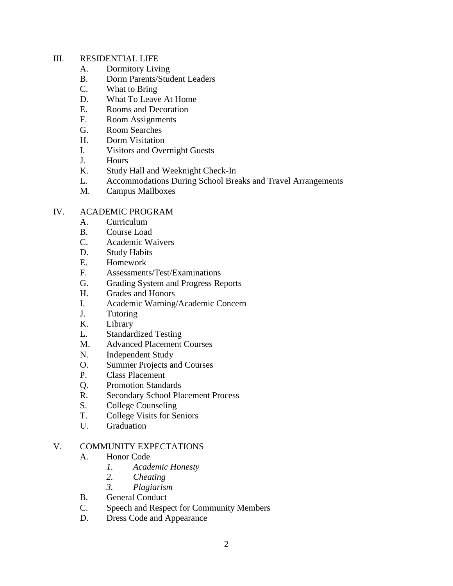### III. RESIDENTIAL LIFE

- A. Dormitory Living
- B. Dorm Parents/Student Leaders
- C. What to Bring
- D. What To Leave At Home
- E. Rooms and Decoration
- F. Room Assignments
- G. Room Searches
- H. Dorm Visitation
- I. Visitors and Overnight Guests
- J. Hours
- K. Study Hall and Weeknight Check-In
- L. Accommodations During School Breaks and Travel Arrangements
- M. Campus Mailboxes

### IV. ACADEMIC PROGRAM

- A. Curriculum
- B. Course Load
- C. Academic Waivers
- D. Study Habits
- E. Homework
- F. Assessments/Test/Examinations
- G. Grading System and Progress Reports
- H. Grades and Honors
- I. Academic Warning/Academic Concern
- J. Tutoring
- K. Library
- L. Standardized Testing
- M. Advanced Placement Courses
- N. Independent Study
- O. Summer Projects and Courses
- P. Class Placement
- Q. Promotion Standards
- R. Secondary School Placement Process
- S. College Counseling
- T. College Visits for Seniors
- U. Graduation

### V. COMMUNITY EXPECTATIONS

- A. Honor Code
	- *1. Academic Honesty*
	- *2. Cheating*
	- *3. Plagiarism*
- B. General Conduct
- C. Speech and Respect for Community Members
- D. Dress Code and Appearance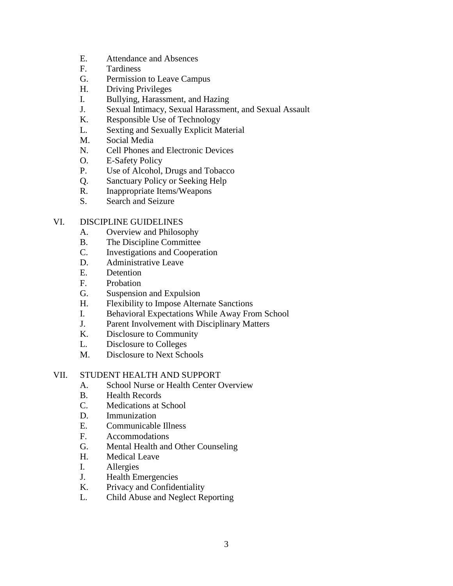- E. Attendance and Absences
- F. Tardiness
- G. Permission to Leave Campus
- H. Driving Privileges
- I. Bullying, Harassment, and Hazing
- J. Sexual Intimacy, Sexual Harassment, and Sexual Assault
- K. Responsible Use of Technology
- L. Sexting and Sexually Explicit Material
- M. Social Media
- N. Cell Phones and Electronic Devices
- O. E-Safety Policy
- P. Use of Alcohol, Drugs and Tobacco
- Q. Sanctuary Policy or Seeking Help
- R. Inappropriate Items/Weapons
- S. Search and Seizure

### VI. DISCIPLINE GUIDELINES

- A. Overview and Philosophy
- B. The Discipline Committee
- C. Investigations and Cooperation
- D. Administrative Leave
- E. Detention
- F. Probation
- G. Suspension and Expulsion
- H. Flexibility to Impose Alternate Sanctions
- I. Behavioral Expectations While Away From School
- J. Parent Involvement with Disciplinary Matters
- K. Disclosure to Community
- L. Disclosure to Colleges
- M. Disclosure to Next Schools

### VII. STUDENT HEALTH AND SUPPORT

- A. School Nurse or Health Center Overview
- B. Health Records
- C. Medications at School
- D. Immunization
- E. Communicable Illness
- F. Accommodations
- G. Mental Health and Other Counseling
- H. Medical Leave
- I. Allergies
- J. Health Emergencies
- K. Privacy and Confidentiality
- L. Child Abuse and Neglect Reporting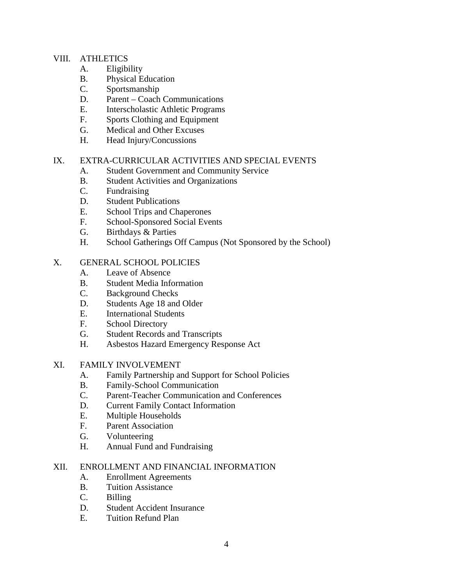### VIII. ATHLETICS

- A. Eligibility
- B. Physical Education
- C. Sportsmanship
- D. Parent Coach Communications
- E. Interscholastic Athletic Programs
- F. Sports Clothing and Equipment
- G. Medical and Other Excuses
- H. Head Injury/Concussions

### IX. EXTRA-CURRICULAR ACTIVITIES AND SPECIAL EVENTS

- A. Student Government and Community Service
- B. Student Activities and Organizations
- C. Fundraising
- D. Student Publications
- E. School Trips and Chaperones
- F. School-Sponsored Social Events
- G. Birthdays & Parties
- H. School Gatherings Off Campus (Not Sponsored by the School)

### X. GENERAL SCHOOL POLICIES

- A. Leave of Absence
- B. Student Media Information
- C. Background Checks
- D. Students Age 18 and Older
- E. International Students
- F. School Directory
- G. Student Records and Transcripts
- H. Asbestos Hazard Emergency Response Act

### XI. FAMILY INVOLVEMENT

- A. Family Partnership and Support for School Policies
- B. Family-School Communication
- C. Parent-Teacher Communication and Conferences
- D. Current Family Contact Information
- E. Multiple Households
- F. Parent Association
- G. Volunteering
- H. Annual Fund and Fundraising

### XII. ENROLLMENT AND FINANCIAL INFORMATION

- A. Enrollment Agreements
- B. Tuition Assistance
- C. Billing
- D. Student Accident Insurance
- E. Tuition Refund Plan